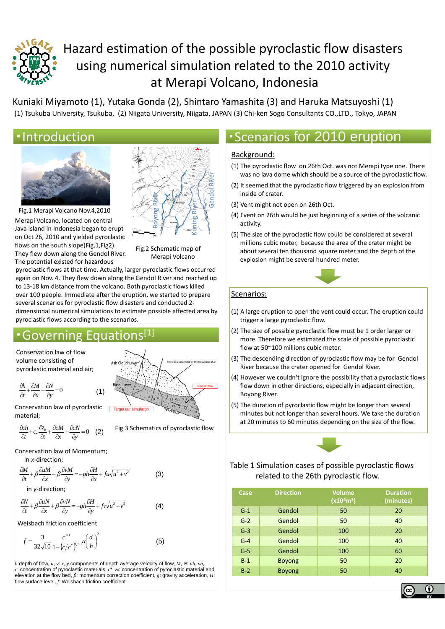

# Hazard estimation of the possible pyroclastic flow disasters using numerical simulation related to the 2010 activity at Merapi Volcano, Indonesia

Kuniaki Miyamoto (1), Yutaka Gonda (2), Shintaro Yamashita (3) and Haruka Matsuyoshi (1) (1) Tsukuba University, Tsukuba, (2) Niigata University, Niigata, JAPAN (3) Chi‐ken Sogo Consultants CO.,LTD., Tokyo, JAPAN



Merapi Volcano, located on central Java Island in Indonesia began to erupt on Oct 26, 2010 and yielded pyroclastic flows on the south slope(Fig.1,Fig2). Fig.1 Merapi Volcano Nov.4,2010 They flew down along the Gendol River. The potential existed for hazardous



Fig.2 Schematic map of Merapi Volcano

pyroclastic flows at that time. Actually, larger pyroclastic flows occurred again on Nov. 4. They flew down along the Gendol River and reached up to 13‐18 km distance from the volcano. Both pyroclastic flows killed over 100 people. Immediate after the eruption, we started to prepare several scenarios for pyroclastic flow disasters and conducted 2‐ dimensional numerical simulations to estimate possible affected area by <sup>p</sup> ypyroclastic flows according to the scenarios.

Target our simulation

# • Governing Equation

(1)

Conservation law of flow volume consisting of pyroclastic material and air;

$$
\frac{\partial h}{\partial t} + \frac{\partial M}{\partial x} + \frac{\partial N}{\partial y} = 0
$$
 (1)

Conservation law of pyroclastic material;

$$
\frac{\partial ch}{\partial t} + c_* \frac{\partial z_b}{\partial t} + \frac{\partial cM}{\partial x} + \frac{\partial cN}{\partial y} = 0 \quad (2)
$$

Fig.3 Schematics of pyroclastic flow

Ash Cloud Layer  $\bigwedge \bigwedge$  Fine ash is suspended by the turbulence of air

 $\left\{f^{\prime\prime} \cdot f^{\prime\prime} \cdot f, \cdots, \cdots, \cdots, \cdots, \cdots, \cdots \right\}$  Granular flow

Granular f

Conservation law of Momentum;

$$
in x\text{-direction};
$$

$$
\frac{\partial M}{\partial t} + \beta \frac{\partial uM}{\partial x} + \beta \frac{\partial vM}{\partial y} = -gh \frac{\partial H}{\partial x} + fu\sqrt{u^2 + v^2}
$$
(3)

in *y*‐direction;

$$
\frac{\partial N}{\partial t} + \beta \frac{\partial uN}{\partial x} + \beta \frac{\partial vN}{\partial y} = -gh \frac{\partial H}{\partial y} + fv\sqrt{u^2 + v^2}
$$
 (4)

Weisbach friction coefficient

$$
f = \frac{3}{32\sqrt{10}} \frac{c^{1/3}}{1 - (c/c^*)^{1/3}} \mu \left(\frac{d}{h}\right)^2
$$
 (5)

*h*:depth of flow, *u*, *v*: *x*, *y* components of depth average velocity of flow, *M*, *N*: *uh*, *vh*, *c*: concentration of pyroclastic materials, *c*\*, *zb*: concentration of pyroclastic material and elevation at the flow bed, *β*: momentum correction coefficient, *g*: gravity acceleration, *H*: flow surface level, *f*: Weisbach friction coefficient

# •Introduction **• Communist Excenarios for 2010 eruption**

#### Background:

- (1) The pyroclastic flow on 26th Oct. was not Merapi type one. There was no lava dome which should be a source of the pyroclastic flow.
- (2) It seemed that the pyroclastic flow triggered by an explosion from inside of crater.
- (3) Vent might not open on 26th Oct.
- (4) Event on 26th would be just beginning of a series of the volcanic activity.
- (5) The size of the pyroclastic flow could be considered at several millions cubic meter, because the area of the crater might be about several ten thousand square meter and the depth of the explosion might be several hundred meter.



#### Scenarios:

- (1) A large eruption to open the vent could occur. The eruption could trigger a large pyroclastic flow.
- (2) The size of possible pyroclastic flow must be 1 order larger or more. Therefore we estimated the scale of possible pyroclastic flow at 50~100 millions cubic meter.
- (3) The descending direction of pyroclastic flow may be for Gendol River because the crater opened for Gendol River.
- (4) However we couldn't ignore the possibility that a pyroclastic flows flow down in other directions, especially in adjacent direction, Boyong River.
- (5) The duration of pyroclastic flow might be longer than several minutes but not longer than several hours. We take the duration at 20 minutes to 60 minutes depending on the size of the flow.



#### Table 1 Simulation cases of possible pyroclastic flows related to the 26th pyroclastic flow.

| Case  | <b>Direction</b> | <b>Volume</b><br>(x10 <sup>6</sup> m <sup>3</sup> ) | <b>Duration</b><br>(minutes) |
|-------|------------------|-----------------------------------------------------|------------------------------|
| $G-1$ | Gendol           | 50                                                  | 20                           |
| $G-2$ | Gendol           | 50                                                  | 40                           |
| $G-3$ | Gendol           | 100                                                 | 20                           |
| $G-4$ | Gendol           | 100                                                 | 40                           |
| $G-5$ | Gendol           | 100                                                 | 60                           |
| $B-1$ | <b>Boyong</b>    | 50                                                  | 20                           |
| $B-2$ | <b>Boyong</b>    | 50                                                  | 40                           |